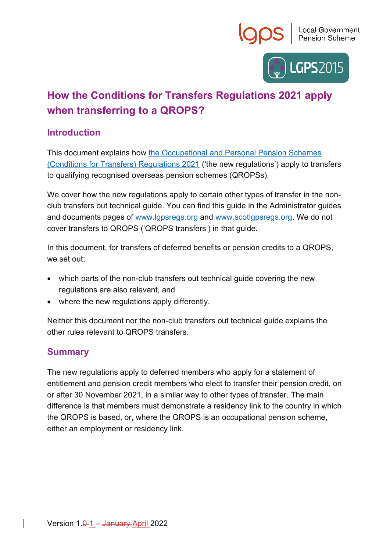



# **How the Conditions for Transfers Regulations 2021 apply when transferring to a QROPS?**

## **Introduction**

This document explains how [the Occupational and Personal Pension Schemes](https://www.legislation.gov.uk/uksi/2021/1237/contents/made)  [\(Conditions for Transfers\) Regulations 2021](https://www.legislation.gov.uk/uksi/2021/1237/contents/made) ('the new regulations') apply to transfers to qualifying recognised overseas pension schemes (QROPSs).

We cover how the new regulations apply to certain other types of transfer in the nonclub transfers out technical guide. You can find this guide in the Administrator guides and documents pages of [www.lgpsregs.org](http://www.lgpsregs.org/) and [www.scotlgpsregs.org.](http://www.scotlgpsregs.org/) We do not cover transfers to QROPS ('QROPS transfers') in that guide.

In this document, for transfers of deferred benefits or pension credits to a QROPS, we set out:

- which parts of the non-club transfers out technical guide covering the new regulations are also relevant, and
- where the new regulations apply differently.

Neither this document nor the non-club transfers out technical guide explains the other rules relevant to QROPS transfers.

## **Summary**

The new regulations apply to deferred members who apply for a statement of entitlement and pension credit members who elect to transfer their pension credit, on or after 30 November 2021, in a similar way to other types of transfer. The main difference is that members must demonstrate a residency link to the country in which the QROPS is based, or, where the QROPS is an occupational pension scheme, either an employment or residency link.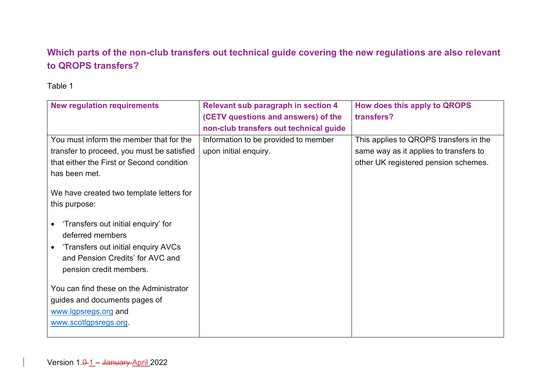## **Which parts of the non-club transfers out technical guide covering the new regulations are also relevant to QROPS transfers?**

#### Table 1

| <b>New regulation requirements</b>               | Relevant sub paragraph in section 4    | How does this apply to QROPS           |
|--------------------------------------------------|----------------------------------------|----------------------------------------|
|                                                  | (CETV questions and answers) of the    | transfers?                             |
|                                                  | non-club transfers out technical guide |                                        |
| You must inform the member that for the          | Information to be provided to member   | This applies to QROPS transfers in the |
| transfer to proceed, you must be satisfied       | upon initial enquiry.                  | same way as it applies to transfers to |
| that either the First or Second condition        |                                        | other UK registered pension schemes.   |
| has been met.                                    |                                        |                                        |
| We have created two template letters for         |                                        |                                        |
| this purpose:                                    |                                        |                                        |
|                                                  |                                        |                                        |
| 'Transfers out initial enquiry' for              |                                        |                                        |
| deferred members                                 |                                        |                                        |
| 'Transfers out initial enquiry AVCs<br>$\bullet$ |                                        |                                        |
| and Pension Credits' for AVC and                 |                                        |                                        |
| pension credit members.                          |                                        |                                        |
|                                                  |                                        |                                        |
| You can find these on the Administrator          |                                        |                                        |
| guides and documents pages of                    |                                        |                                        |
| www.lgpsregs.org and                             |                                        |                                        |
| www.scotlgpsregs.org.                            |                                        |                                        |
|                                                  |                                        |                                        |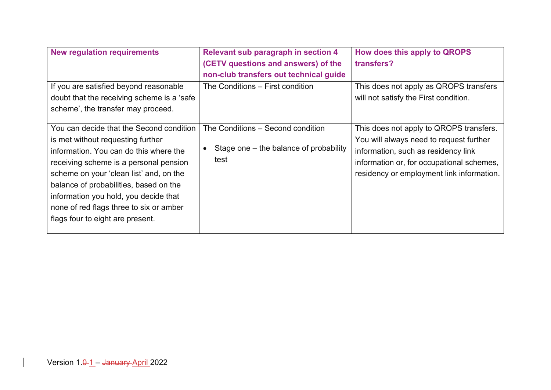| <b>New regulation requirements</b>                                                                                                                                                                                                                                                                                                                                             | <b>Relevant sub paragraph in section 4</b><br>(CETV questions and answers) of the<br>non-club transfers out technical guide | How does this apply to QROPS<br>transfers?                                                                                                                                                                          |
|--------------------------------------------------------------------------------------------------------------------------------------------------------------------------------------------------------------------------------------------------------------------------------------------------------------------------------------------------------------------------------|-----------------------------------------------------------------------------------------------------------------------------|---------------------------------------------------------------------------------------------------------------------------------------------------------------------------------------------------------------------|
| If you are satisfied beyond reasonable<br>doubt that the receiving scheme is a 'safe<br>scheme', the transfer may proceed.                                                                                                                                                                                                                                                     | The Conditions – First condition                                                                                            | This does not apply as QROPS transfers<br>will not satisfy the First condition.                                                                                                                                     |
| You can decide that the Second condition<br>is met without requesting further<br>information. You can do this where the<br>receiving scheme is a personal pension<br>scheme on your 'clean list' and, on the<br>balance of probabilities, based on the<br>information you hold, you decide that<br>none of red flags three to six or amber<br>flags four to eight are present. | The Conditions – Second condition<br>Stage one – the balance of probability<br>test                                         | This does not apply to QROPS transfers.<br>You will always need to request further<br>information, such as residency link<br>information or, for occupational schemes,<br>residency or employment link information. |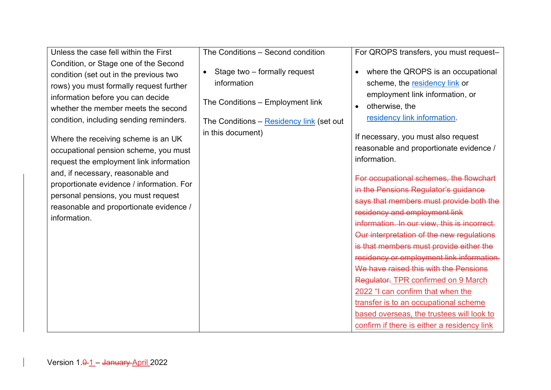Unless the case fell within the First Condition, or Stage one of the Second condition (set out in the previous two rows) you must formally request further information before you can decide whether the member meets the second condition, including sending reminders.

Where the receiving scheme is an UK occupational pension scheme, you must request the employment link information and, if necessary, reasonable and proportionate evidence / information. For personal pensions, you must request reasonable and proportionate evidence / information.

The Conditions – Second condition

• Stage two – formally request information

The Conditions – Employment link

The Conditions – [Residency link](#page-8-0) (set out in this document)

For QROPS transfers, you must request–

- where the QROPS is an occupational scheme, the [residency link](#page-8-0) or employment link information, or
- otherwise, the [residency link information.](#page-8-0)

If necessary, you must also request reasonable and proportionate evidence / information.

For occupational schemes, the flowchart in the Pensions Regulator's guidance says that members must provide both the residency and employment link information. In our view, this is incorrect. Our interpretation of the new regulations is that members must provide either the residency or employment link information. We have raised this with the Pensions Regulator. TPR confirmed on 9 March 2022 "I can confirm that when the transfer is to an occupational scheme based overseas, the trustees will look to confirm if there is either a residency link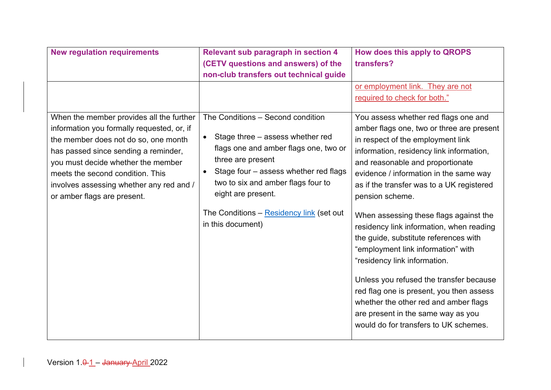| <b>New regulation requirements</b>                                                 | <b>Relevant sub paragraph in section 4</b>                                  | How does this apply to QROPS                                                   |
|------------------------------------------------------------------------------------|-----------------------------------------------------------------------------|--------------------------------------------------------------------------------|
|                                                                                    | (CETV questions and answers) of the                                         | transfers?                                                                     |
|                                                                                    | non-club transfers out technical guide                                      |                                                                                |
|                                                                                    |                                                                             | or employment link. They are not                                               |
|                                                                                    |                                                                             | required to check for both."                                                   |
| When the member provides all the further                                           | The Conditions - Second condition                                           | You assess whether red flags one and                                           |
| information you formally requested, or, if<br>the member does not do so, one month | Stage three – assess whether red<br>$\bullet$                               | amber flags one, two or three are present<br>in respect of the employment link |
| has passed since sending a reminder,                                               | flags one and amber flags one, two or                                       | information, residency link information,                                       |
| you must decide whether the member                                                 | three are present                                                           | and reasonable and proportionate                                               |
| meets the second condition. This                                                   | Stage four - assess whether red flags<br>two to six and amber flags four to | evidence / information in the same way                                         |
| involves assessing whether any red and /<br>or amber flags are present.            | eight are present.                                                          | as if the transfer was to a UK registered<br>pension scheme.                   |
|                                                                                    |                                                                             |                                                                                |
|                                                                                    | The Conditions - Residency link (set out                                    | When assessing these flags against the                                         |
|                                                                                    | in this document)                                                           | residency link information, when reading                                       |
|                                                                                    |                                                                             | the guide, substitute references with<br>"employment link information" with    |
|                                                                                    |                                                                             | "residency link information.                                                   |
|                                                                                    |                                                                             |                                                                                |
|                                                                                    |                                                                             | Unless you refused the transfer because                                        |
|                                                                                    |                                                                             | red flag one is present, you then assess                                       |
|                                                                                    |                                                                             | whether the other red and amber flags                                          |
|                                                                                    |                                                                             | are present in the same way as you<br>would do for transfers to UK schemes.    |
|                                                                                    |                                                                             |                                                                                |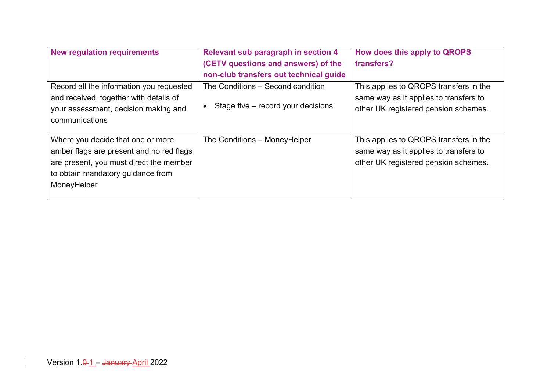| <b>New regulation requirements</b>       | <b>Relevant sub paragraph in section 4</b> | How does this apply to QROPS           |
|------------------------------------------|--------------------------------------------|----------------------------------------|
|                                          | (CETV questions and answers) of the        | transfers?                             |
|                                          | non-club transfers out technical guide     |                                        |
| Record all the information you requested | The Conditions – Second condition          | This applies to QROPS transfers in the |
| and received, together with details of   |                                            | same way as it applies to transfers to |
| your assessment, decision making and     | Stage five – record your decisions         | other UK registered pension schemes.   |
| communications                           |                                            |                                        |
|                                          |                                            |                                        |
| Where you decide that one or more        | The Conditions - MoneyHelper               | This applies to QROPS transfers in the |
| amber flags are present and no red flags |                                            | same way as it applies to transfers to |
| are present, you must direct the member  |                                            | other UK registered pension schemes.   |
| to obtain mandatory guidance from        |                                            |                                        |
| MoneyHelper                              |                                            |                                        |
|                                          |                                            |                                        |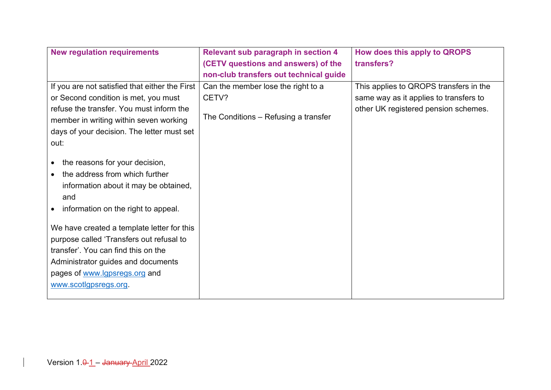| <b>New regulation requirements</b>                                                                                                                                                                                                                                                                                                                                                       | <b>Relevant sub paragraph in section 4</b> | How does this apply to QROPS           |
|------------------------------------------------------------------------------------------------------------------------------------------------------------------------------------------------------------------------------------------------------------------------------------------------------------------------------------------------------------------------------------------|--------------------------------------------|----------------------------------------|
|                                                                                                                                                                                                                                                                                                                                                                                          | (CETV questions and answers) of the        | transfers?                             |
|                                                                                                                                                                                                                                                                                                                                                                                          | non-club transfers out technical guide     |                                        |
| If you are not satisfied that either the First                                                                                                                                                                                                                                                                                                                                           | Can the member lose the right to a         | This applies to QROPS transfers in the |
| or Second condition is met, you must                                                                                                                                                                                                                                                                                                                                                     | CETV?                                      | same way as it applies to transfers to |
| refuse the transfer. You must inform the<br>member in writing within seven working                                                                                                                                                                                                                                                                                                       | The Conditions - Refusing a transfer       | other UK registered pension schemes.   |
| days of your decision. The letter must set                                                                                                                                                                                                                                                                                                                                               |                                            |                                        |
| out:                                                                                                                                                                                                                                                                                                                                                                                     |                                            |                                        |
| the reasons for your decision,<br>the address from which further<br>information about it may be obtained,<br>and<br>information on the right to appeal.<br>We have created a template letter for this<br>purpose called 'Transfers out refusal to<br>transfer'. You can find this on the<br>Administrator guides and documents<br>pages of www.lgpsregs.org and<br>www.scotlgpsregs.org. |                                            |                                        |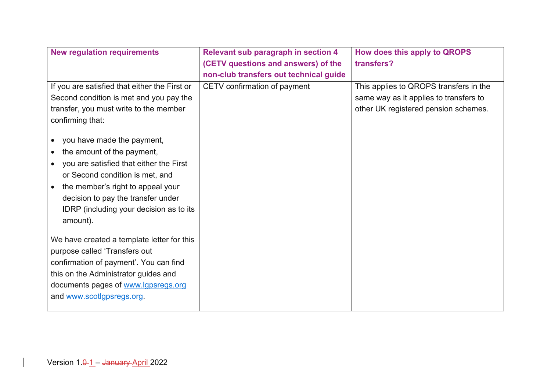| <b>New regulation requirements</b>                                                                                                                                                                                                                                                    | <b>Relevant sub paragraph in section 4</b> | How does this apply to QROPS           |
|---------------------------------------------------------------------------------------------------------------------------------------------------------------------------------------------------------------------------------------------------------------------------------------|--------------------------------------------|----------------------------------------|
|                                                                                                                                                                                                                                                                                       | (CETV questions and answers) of the        | transfers?                             |
|                                                                                                                                                                                                                                                                                       | non-club transfers out technical guide     |                                        |
| If you are satisfied that either the First or                                                                                                                                                                                                                                         | CETV confirmation of payment               | This applies to QROPS transfers in the |
| Second condition is met and you pay the                                                                                                                                                                                                                                               |                                            | same way as it applies to transfers to |
| transfer, you must write to the member                                                                                                                                                                                                                                                |                                            | other UK registered pension schemes.   |
| confirming that:                                                                                                                                                                                                                                                                      |                                            |                                        |
| you have made the payment,<br>the amount of the payment,<br>you are satisfied that either the First<br>$\bullet$<br>or Second condition is met, and<br>the member's right to appeal your<br>decision to pay the transfer under<br>IDRP (including your decision as to its<br>amount). |                                            |                                        |
| We have created a template letter for this                                                                                                                                                                                                                                            |                                            |                                        |
| purpose called 'Transfers out<br>confirmation of payment'. You can find                                                                                                                                                                                                               |                                            |                                        |
| this on the Administrator guides and                                                                                                                                                                                                                                                  |                                            |                                        |
| documents pages of www.lgpsregs.org                                                                                                                                                                                                                                                   |                                            |                                        |
| and www.scotlgpsregs.org.                                                                                                                                                                                                                                                             |                                            |                                        |
|                                                                                                                                                                                                                                                                                       |                                            |                                        |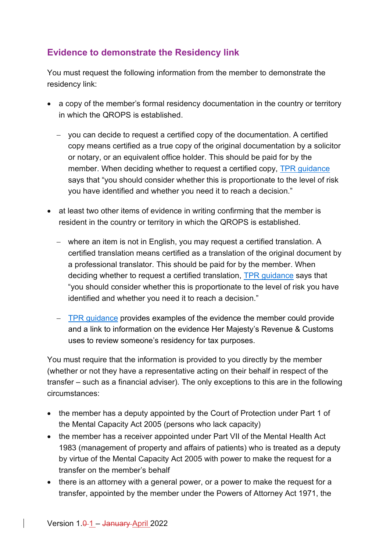## <span id="page-8-0"></span>**Evidence to demonstrate the Residency link**

You must request the following information from the member to demonstrate the residency link:

- a copy of the member's formal residency documentation in the country or territory in which the QROPS is established.
	- − you can decide to request a certified copy of the documentation. A certified copy means certified as a true copy of the original documentation by a solicitor or notary, or an equivalent office holder. This should be paid for by the member. When deciding whether to request a certified copy, [TPR guidance](https://www.thepensionsregulator.gov.uk/en/pension-scams/dealing-with-transfer-requests#3f7f1149a3714d068362024b4ff84497) says that "you should consider whether this is proportionate to the level of risk you have identified and whether you need it to reach a decision."
- at least two other items of evidence in writing confirming that the member is resident in the country or territory in which the QROPS is established.
	- − where an item is not in English, you may request a certified translation. A certified translation means certified as a translation of the original document by a professional translator. This should be paid for by the member. When deciding whether to request a certified translation, [TPR guidance](https://www.thepensionsregulator.gov.uk/en/pension-scams/dealing-with-transfer-requests#3f7f1149a3714d068362024b4ff84497) says that "you should consider whether this is proportionate to the level of risk you have identified and whether you need it to reach a decision."
	- − [TPR guidance](https://www.thepensionsregulator.gov.uk/en/pension-scams/dealing-with-transfer-requests#3f7f1149a3714d068362024b4ff84497) provides examples of the evidence the member could provide and a link to information on the evidence Her Majesty's Revenue & Customs uses to review someone's residency for tax purposes.

You must require that the information is provided to you directly by the member (whether or not they have a representative acting on their behalf in respect of the transfer – such as a financial adviser). The only exceptions to this are in the following circumstances:

- the member has a deputy appointed by the Court of Protection under Part 1 of the Mental Capacity Act 2005 (persons who lack capacity)
- the member has a receiver appointed under Part VII of the Mental Health Act 1983 (management of property and affairs of patients) who is treated as a deputy by virtue of the Mental Capacity Act 2005 with power to make the request for a transfer on the member's behalf
- there is an attorney with a general power, or a power to make the request for a transfer, appointed by the member under the Powers of Attorney Act 1971, the